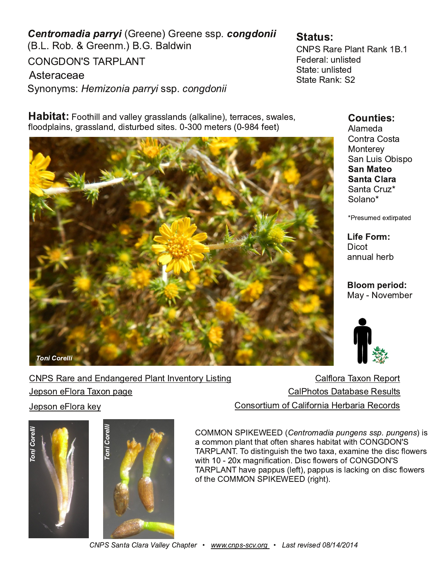| 4) 1) 4) 1) 553<br>$\frac{1}{28}$<br>$%9 - 1$<br>4)10<br>" $\#$ !<br>#<br>$564\%$ ) %<br>" 553<br>$"$ ; 121; 05<br>#     |                                                                       | $"$ ! % $\frac{9}{4}$ /%16! %1.<br>)( ) 4% 71/56 (<br>$" 6\% 71/56 ($<br>$"$ 6% $\theta$ ! %. $"$ |
|--------------------------------------------------------------------------------------------------------------------------|-----------------------------------------------------------------------|---------------------------------------------------------------------------------------------------|
| 226 $\frac{1}{9}$ % (8%); +4% 55/% (5 % . % -1) 6 44%) 5 59 %) 5<br>$\frac{1}{22}$ (3/%15 +4%55/%1(6-5674&)(5-6)5 0)6,45 | *) 6                                                                  | $/9/0)$ (%<br>2164% 256%<br>2104;<br>"% 7-5 &-532                                                 |
|                                                                                                                          |                                                                       | "%16% $47<$<br>" 2/%12"<br>4 570 ) ( ) : 643% 6 (                                                 |
|                                                                                                                          |                                                                       | $-26$<br>$%17\%$ , $)$ 4&                                                                         |
|                                                                                                                          |                                                                       | $\%$<br>$(28)$ 0 & 4                                                                              |
| $\frac{19}{4}$ $\frac{9}{4}$ $\frac{9}{4}$ ( $\frac{19}{4}$ +) $\frac{4}{4}$ ( $\frac{9}{4}$ 6 18) 1624 561+             |                                                                       | %*/24%#%21 !) 3246                                                                                |
| /24%#% 21 3%+)<br>3521)<br>$3521$ ) $/24\%$ . :                                                                          |                                                                       | $\frac{\%}{\%}$ , 2625 $\frac{\%}{\%}\%$ (57/65<br>21524670 2* %*241-% ) 48%4%!) 24(5             |
|                                                                                                                          | н<br>\$<br>%' 20 0 21 3/% 66 % 62* 6 1 5, % 4 5, % 86% 69 -6<br>$#$ ! | -5<br>п<br># #2 (-561+7-5, 6) 69 2 6% %): % -1) 6) (-5' */29) 45                                  |

9 -6, : 0 %+1-\*-' %6-21 -5' \*/29 ) 45 2\* " # ! # , %8) 3%3375 /) \*6 3%3375 -5 /%' . -1+ 21 ( -5' \*/29 ) 45

2\* 6 ) " \$ 4+, 6

 $" \qquad \qquad $ \underline{111} \qquad \qquad $ \$  $" \qquad \qquad $ \underline{111} \qquad \qquad $ \$  $" \qquad \qquad $ \underline{111} \qquad \qquad $ \$